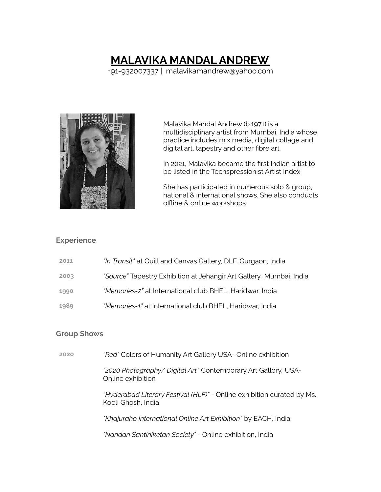# **MALAVIKA MANDAL ANDREW**

+91-932007337 | malavikamandrew@yahoo.com



Malavika Mandal Andrew (b.1971) is a multidisciplinary artist from Mumbai, India whose practice includes mix media, digital collage and digital art, tapestry and other fibre art.

In 2021, Malavika became the first Indian artist to be listed in the Techspressionist Artist Index.

She has participated in numerous solo & group, national & international shows. She also conducts offline & online workshops.

### **Experience**

| <i>"In Transit"</i> at Quill and Canvas Gallery, DLF, Gurgaon, India<br>2011 |  |
|------------------------------------------------------------------------------|--|
|------------------------------------------------------------------------------|--|

- **2003** *"Source"* Tapestry Exhibition at Jehangir Art Gallery, Mumbai, India
- **1990** *"Memories-2"* at International club BHEL, Haridwar, India
- **1989** *"Memories-1"* at International club BHEL, Haridwar, India

#### **Group Shows**

**2020** *"Red"* Colors of Humanity Art Gallery USA- Online exhibition

*"2020 Photography/ Digital Art"* Contemporary Art Gallery, USA-Online exhibition

*"Hyderabad Literary Festival (HLF)"* - Online exhibition curated by Ms. Koeli Ghosh, India

*\*Khajuraho International Online Art Exhibition"* by EACH, India

*\*Nandan Santiniketan Society"* - Online exhibition, India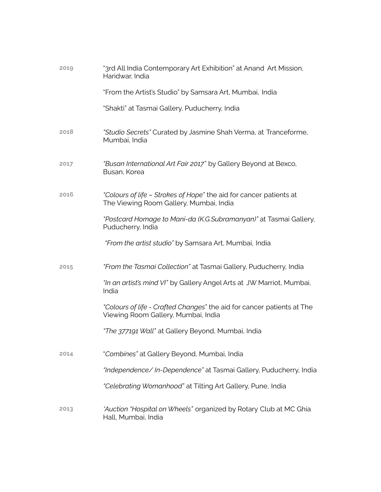| 2019 | "3rd All India Contemporary Art Exhibition" at Anand Art Mission,<br>Haridwar, India                          |
|------|---------------------------------------------------------------------------------------------------------------|
|      | "From the Artist's Studio" by Samsara Art, Mumbai, India                                                      |
|      | "Shakti" at Tasmai Gallery, Puducherry, India                                                                 |
| 2018 | "Studio Secrets" Curated by Jasmine Shah Verma, at Tranceforme,<br>Mumbai, India                              |
| 2017 | "Busan International Art Fair 2017" by Gallery Beyond at Bexco,<br>Busan, Korea                               |
| 2016 | "Colours of life - Strokes of Hope" the aid for cancer patients at<br>The Viewing Room Gallery, Mumbai, India |
|      | "Postcard Homage to Mani-da (K.G.Subramanyan)" at Tasmai Gallery,<br>Puducherry, India                        |
|      | "From the artist studio" by Samsara Art, Mumbai, India                                                        |
| 2015 | "From the Tasmai Collection" at Tasmai Gallery, Puducherry, India                                             |
|      | "In an artist's mind VI" by Gallery Angel Arts at JW Marriot, Mumbai,<br>India                                |
|      | "Colours of life - Crafted Changes" the aid for cancer patients at The<br>Viewing Room Gallery, Mumbai, India |
|      | "The 377191 Wall" at Gallery Beyond, Mumbai, India                                                            |
| 2014 | "Combines" at Gallery Beyond, Mumbai, India                                                                   |
|      | "Independence/In-Dependence" at Tasmai Gallery, Puducherry, India                                             |
|      | "Celebrating Womanhood" at Tilting Art Gallery, Pune, India                                                   |
| 2013 | *Auction "Hospital on Wheels" organized by Rotary Club at MC Ghia<br>Hall, Mumbai, India                      |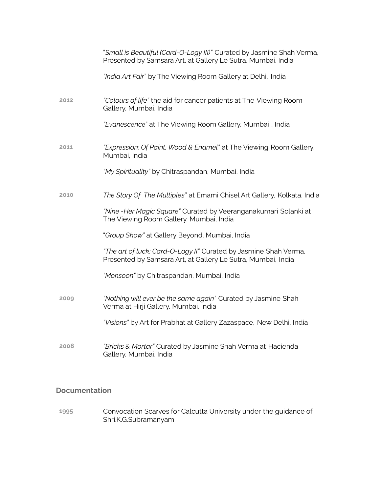|      | "Small is Beautiful (Card-O-Logy III)" Curated by Jasmine Shah Verma,<br>Presented by Samsara Art, at Gallery Le Sutra, Mumbai, India |
|------|---------------------------------------------------------------------------------------------------------------------------------------|
|      | "India Art Fair" by The Viewing Room Gallery at Delhi, India                                                                          |
| 2012 | "Colours of life" the aid for cancer patients at The Viewing Room<br>Gallery, Mumbai, India                                           |
|      | "Evanescence" at The Viewing Room Gallery, Mumbai, India                                                                              |
| 2011 | "Expression: Of Paint, Wood & Enamel" at The Viewing Room Gallery,<br>Mumbai, India                                                   |
|      | "My Spirituality" by Chitraspandan, Mumbai, India                                                                                     |
| 2010 | The Story Of The Multiples" at Emami Chisel Art Gallery, Kolkata, India                                                               |
|      | "Nine-Her Magic Square" Curated by Veeranganakumari Solanki at<br>The Viewing Room Gallery, Mumbai, India                             |
|      | "Group Show" at Gallery Beyond, Mumbai, India                                                                                         |
|      | "The art of luck: Card-O-Logy II" Curated by Jasmine Shah Verma,<br>Presented by Samsara Art, at Gallery Le Sutra, Mumbai, India      |
|      | "Monsoon" by Chitraspandan, Mumbai, India                                                                                             |
| 2009 | "Nothing will ever be the same again" Curated by Jasmine Shah<br>Verma at Hirji Gallery, Mumbai, India                                |
|      | "Visions" by Art for Prabhat at Gallery Zazaspace, New Delhi, India                                                                   |
| 2008 | "Bricks & Mortar" Curated by Jasmine Shah Verma at Hacienda<br>Gallery, Mumbai, India                                                 |

## **Documentation**

**1995** Convocation Scarves for Calcutta University under the guidance of Shri.K.G.Subramanyam